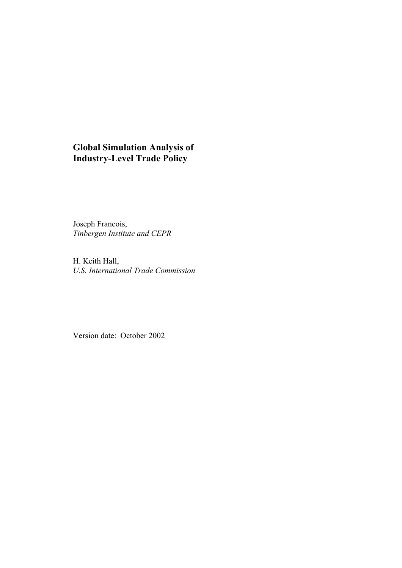## **Global Simulation Analysis of Industry-Level Trade Policy**

Joseph Francois, *Tinbergen Institute and CEPR* 

H. Keith Hall, *U.S. International Trade Commission*

Version date: October 2002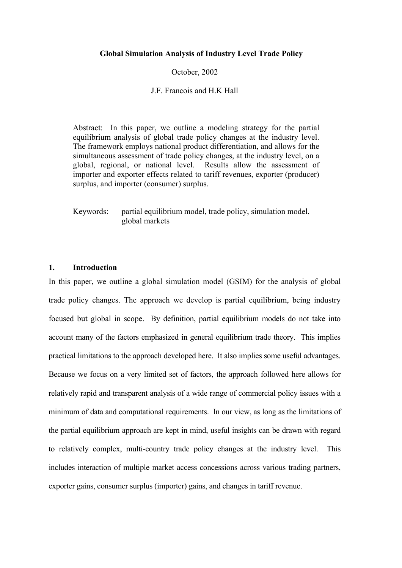#### **Global Simulation Analysis of Industry Level Trade Policy**

#### October, 2002

#### J.F. Francois and H.K Hall

Abstract: In this paper, we outline a modeling strategy for the partial equilibrium analysis of global trade policy changes at the industry level. The framework employs national product differentiation, and allows for the simultaneous assessment of trade policy changes, at the industry level, on a global, regional, or national level. Results allow the assessment of importer and exporter effects related to tariff revenues, exporter (producer) surplus, and importer (consumer) surplus.

Keywords: partial equilibrium model, trade policy, simulation model, global markets

#### **1. Introduction**

In this paper, we outline a global simulation model (GSIM) for the analysis of global trade policy changes. The approach we develop is partial equilibrium, being industry focused but global in scope. By definition, partial equilibrium models do not take into account many of the factors emphasized in general equilibrium trade theory. This implies practical limitations to the approach developed here. It also implies some useful advantages. Because we focus on a very limited set of factors, the approach followed here allows for relatively rapid and transparent analysis of a wide range of commercial policy issues with a minimum of data and computational requirements. In our view, as long as the limitations of the partial equilibrium approach are kept in mind, useful insights can be drawn with regard to relatively complex, multi-country trade policy changes at the industry level. This includes interaction of multiple market access concessions across various trading partners, exporter gains, consumer surplus (importer) gains, and changes in tariff revenue.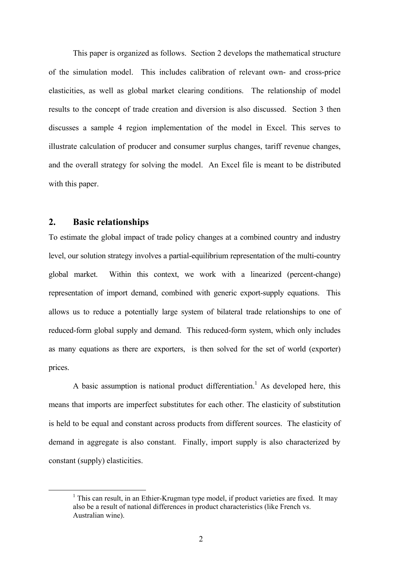This paper is organized as follows. Section 2 develops the mathematical structure of the simulation model. This includes calibration of relevant own- and cross-price elasticities, as well as global market clearing conditions. The relationship of model results to the concept of trade creation and diversion is also discussed. Section 3 then discusses a sample 4 region implementation of the model in Excel. This serves to illustrate calculation of producer and consumer surplus changes, tariff revenue changes, and the overall strategy for solving the model. An Excel file is meant to be distributed with this paper.

## **2. Basic relationships**

To estimate the global impact of trade policy changes at a combined country and industry level, our solution strategy involves a partial-equilibrium representation of the multi-country global market. Within this context, we work with a linearized (percent-change) representation of import demand, combined with generic export-supply equations. This allows us to reduce a potentially large system of bilateral trade relationships to one of reduced-form global supply and demand. This reduced-form system, which only includes as many equations as there are exporters, is then solved for the set of world (exporter) prices.

A basic assumption is national product differentiation.<sup>1</sup> As developed here, this means that imports are imperfect substitutes for each other. The elasticity of substitution is held to be equal and constant across products from different sources. The elasticity of demand in aggregate is also constant. Finally, import supply is also characterized by constant (supply) elasticities.

 $\frac{1}{1}$  $1$  This can result, in an Ethier-Krugman type model, if product varieties are fixed. It may also be a result of national differences in product characteristics (like French vs. Australian wine).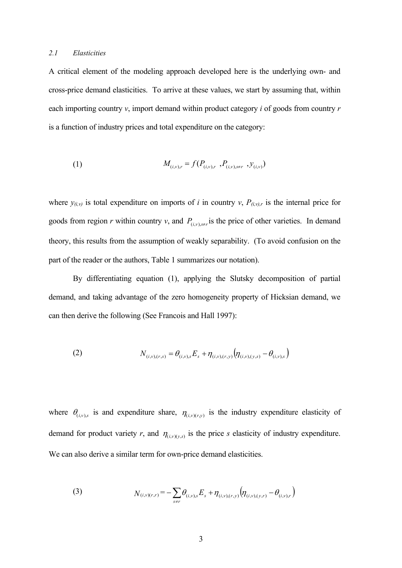#### *2.1 Elasticities*

A critical element of the modeling approach developed here is the underlying own- and cross-price demand elasticities. To arrive at these values, we start by assuming that, within each importing country *v*, import demand within product category *i* of goods from country *r* is a function of industry prices and total expenditure on the category:

(1) 
$$
M_{(i,v),r} = f(P_{(i,v),r}, P_{(i,v),s \neq r}, y_{(i,v)})
$$

where  $y_{(i,v)}$  is total expenditure on imports of *i* in country *v*,  $P_{(i,v),r}$  is the internal price for goods from region *r* within country *v*, and  $P_{(i,y),s\neq r}$  is the price of other varieties. In demand theory, this results from the assumption of weakly separability. (To avoid confusion on the part of the reader or the authors, Table 1 summarizes our notation).

By differentiating equation (1), applying the Slutsky decomposition of partial demand, and taking advantage of the zero homogeneity property of Hicksian demand, we can then derive the following (See Francois and Hall 1997):

(2) 
$$
N_{(i,v),(r,s)} = \theta_{(i,v),s} E_s + \eta_{(i,v),(r,v)} \left( \eta_{(i,v),(y,s)} - \theta_{(i,v),s} \right)
$$

where  $\theta_{(i,v),s}$  is and expenditure share,  $\eta_{(i,v)(r,y)}$  is the industry expenditure elasticity of demand for product variety *r*, and  $\eta_{(i,v)(y,s)}$  is the price *s* elasticity of industry expenditure. We can also derive a similar term for own-price demand elasticities.

(3) 
$$
N_{(i,v)(r,r)} = -\sum_{s \neq r} \theta_{(i,v),s} E_s + \eta_{(i,v),(r,y)} \left( \eta_{(i,v),(y,r)} - \theta_{(i,v),r} \right)
$$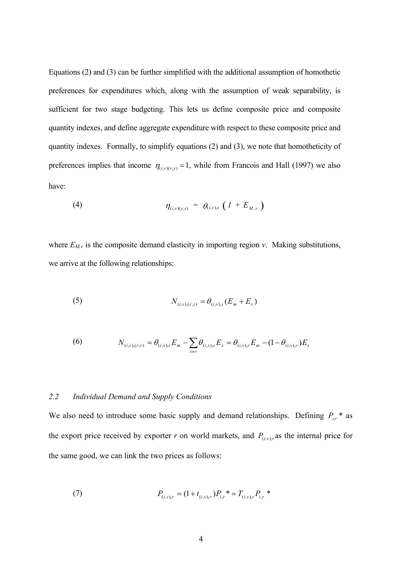Equations (2) and (3) can be further simplified with the additional assumption of homothetic preferences for expenditures which, along with the assumption of weak separability, is sufficient for two stage budgeting. This lets us define composite price and composite quantity indexes, and define aggregate expenditure with respect to these composite price and quantity indexes. Formally, to simplify equations (2) and (3), we note that homotheticity of preferences implies that income  $\eta_{(i,v)(r,y)} = 1$ , while from Francois and Hall (1997) we also have:

(4) 
$$
\eta_{(i,v)(y,s)} = \theta_{(i,v),s} (1 + E_{M,v})
$$

where  $E_{M,v}$  is the composite demand elasticity in importing region  $v$ . Making substitutions, we arrive at the following relationships:

(5) 
$$
N_{(i,v),(r,s)} = \theta_{(i,v),s}(E_m + E_s)
$$

(6) 
$$
N_{(i,v),(r,r)} = \theta_{(i,v),r} E_m - \sum_{s \neq r} \theta_{(i,v),s} E_s = \theta_{(i,v),r} E_m - (1 - \theta_{(i,v),r}) E_s
$$

### *2.2 Individual Demand and Supply Conditions*

We also need to introduce some basic supply and demand relationships. Defining  $P_{i,r}$  \* as the export price received by exporter *r* on world markets, and  $P_{(i,v),r}$  as the internal price for the same good, we can link the two prices as follows:

(7) 
$$
P_{(i,v),r} = (1 + t_{(i,v),r}) P_{i,r}^* = T_{(i,v),r} P_{i,r}^*
$$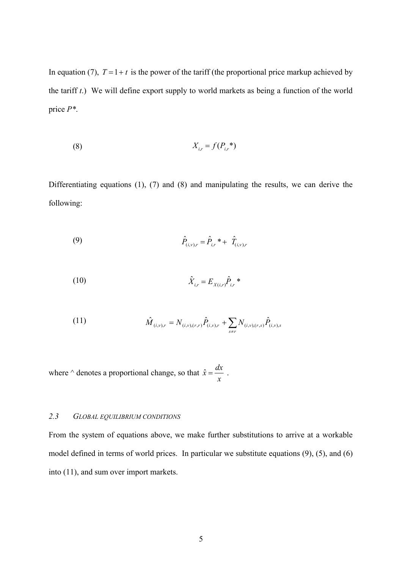In equation (7),  $T = 1 + t$  is the power of the tariff (the proportional price markup achieved by the tariff *t*.) We will define export supply to world markets as being a function of the world price *P\**.

$$
(8) \t\t\t X_{i,r} = f(P_{i,r}^*)
$$

Differentiating equations (1), (7) and (8) and manipulating the results, we can derive the following:

(9) 
$$
\hat{P}_{(i,v),r} = \hat{P}_{i,r} * + \hat{T}_{(i,v),r}
$$

(10) 
$$
\hat{X}_{i,r} = E_{X(i,r)} \hat{P}_{i,r}^* \ast
$$

(11) 
$$
\hat{M}_{(i,v),r} = N_{(i,v),(r,r)} \hat{P}_{(i,v),r} + \sum_{s \neq r} N_{(i,v),(r,s)} \hat{P}_{(i,v),s}
$$

where  $\wedge$  denotes a proportional change, so that *x*  $\hat{x} = \frac{dx}{x}$ .

### *2.3 GLOBAL EQUILIBRIUM CONDITIONS*

From the system of equations above, we make further substitutions to arrive at a workable model defined in terms of world prices. In particular we substitute equations (9), (5), and (6) into (11), and sum over import markets.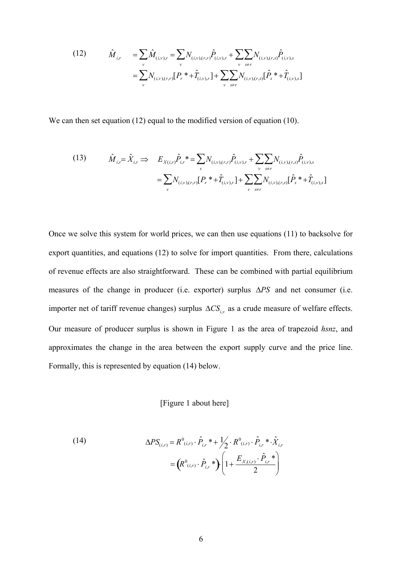(12) 
$$
\hat{M}_{i,r} = \sum_{v} \hat{M}_{(i,v),r} = \sum_{v} N_{(i,v),(r,r)} \hat{P}_{(i,v),r} + \sum_{v} \sum_{s \neq r} N_{(i,v),(r,s)} \hat{P}_{(i,v),s} \n= \sum_{v} N_{(i,v),(r,r)} [P_r * + \hat{T}_{(i,v),r}] + \sum_{v} \sum_{s \neq r} N_{(i,v),(r,s)} [\hat{P}_s * + \hat{T}_{(i,v),s}]
$$

We can then set equation (12) equal to the modified version of equation (10).

(13) 
$$
\hat{M}_{i,r} = \hat{X}_{i,r} \implies E_{X(i,r)} \hat{P}_{i,r}^* = \sum_{v} N_{(i,v),(r,r)} \hat{P}_{(i,v),r} + \sum_{v} \sum_{s \neq r} N_{(i,v),(r,s)} \hat{P}_{(i,v),s} - \sum_{v} N_{(i,v),(r,r)} [P_r^* + \hat{T}_{(i,v),r}] + \sum_{v} \sum_{s \neq r} N_{(i,v),(r,s)} [\hat{P}_s^* + \hat{T}_{(i,v),s}]
$$

Once we solve this system for world prices, we can then use equations (11) to backsolve for export quantities, and equations (12) to solve for import quantities. From there, calculations of revenue effects are also straightforward. These can be combined with partial equilibrium measures of the change in producer (i.e. exporter) surplus ∆*PS* and net consumer (i.e. importer net of tariff revenue changes) surplus ∆*CSi*,*v* as a crude measure of welfare effects. Our measure of producer surplus is shown in Figure 1 as the area of trapezoid *hsnz*, and approximates the change in the area between the export supply curve and the price line. Formally, this is represented by equation (14) below.

## [Figure 1 about here]

(14) 
$$
\Delta PS_{(i,r)} = R^0_{(i,r)} \cdot \hat{P}_{i,r} * + \frac{1}{2} \cdot R^0_{(i,r)} \cdot \hat{P}_{i,r} * \cdot \hat{X}_{i,r} = (R^0_{(i,r)} \cdot \hat{P}_{i,r} * ) \cdot \left(1 + \frac{E_{X,(i,r)} \cdot \hat{P}_{i,r} *}{2}\right)
$$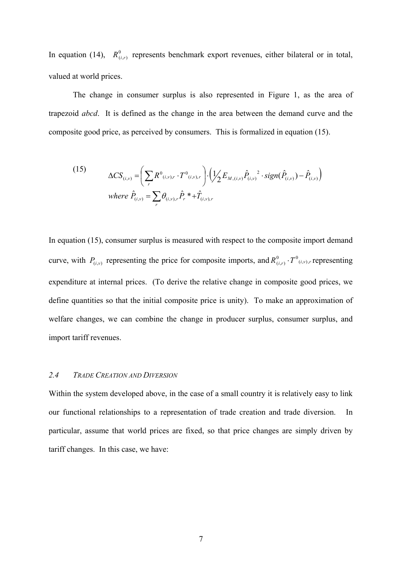In equation (14),  $R^0_{(i,r)}$  represents benchmark export revenues, either bilateral or in total, valued at world prices.

The change in consumer surplus is also represented in Figure 1, as the area of trapezoid *abcd*. It is defined as the change in the area between the demand curve and the composite good price, as perceived by consumers. This is formalized in equation (15).

(15) 
$$
\Delta CS_{(i,v)} = \left(\sum_{r} R^{0}{}_{(i,v),r} \cdot T^{0}{}_{(i,v),r}\right) \cdot \left(\frac{1}{2} E_{M,(i,v)} \hat{P}_{(i,v)}^{2} \cdot sign(\hat{P}_{(i,v)}) - \hat{P}_{(i,v)}\right)
$$
  
where  $\hat{P}_{(i,v)} = \sum_{r} \theta_{(i,v),r} \hat{P}_{r}^{*} + \hat{T}_{(i,v),r}$ 

In equation (15), consumer surplus is measured with respect to the composite import demand curve, with  $P_{(i,y)}$  representing the price for composite imports, and  $R^0_{(i,r)} \cdot T^0_{(i,y),r}$  representing expenditure at internal prices. (To derive the relative change in composite good prices, we define quantities so that the initial composite price is unity). To make an approximation of welfare changes, we can combine the change in producer surplus, consumer surplus, and import tariff revenues.

#### *2.4 TRADE CREATION AND DIVERSION*

Within the system developed above, in the case of a small country it is relatively easy to link our functional relationships to a representation of trade creation and trade diversion. In particular, assume that world prices are fixed, so that price changes are simply driven by tariff changes. In this case, we have: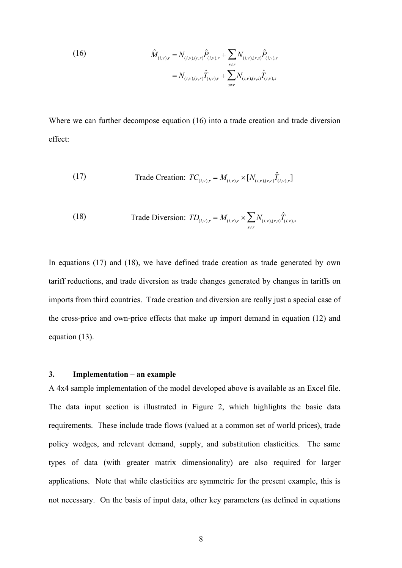(16)  

$$
\hat{M}_{(i,v),r} = N_{(i,v),(r,r)} \hat{P}_{(i,v),r} + \sum_{s \neq r} N_{(i,v),(r,s)} \hat{P}_{(i,v),s}
$$

$$
= N_{(i,v),(r,r)} \hat{T}_{(i,v),r} + \sum_{s \neq r} N_{(i,v),(r,s)} \hat{T}_{(i,v),s}
$$

Where we can further decompose equation (16) into a trade creation and trade diversion effect:

(17) Trade Creation: 
$$
TC_{(i,v),r} = M_{(i,v),r} \times [N_{(i,v),(r,r)}\hat{T}_{(i,v),r}]
$$

(18) Trade Diversion: 
$$
TD_{(i,v),r} = M_{(i,v),r} \times \sum_{s \neq r} N_{(i,v),(r,s)} \hat{T}_{(i,v),s}
$$

In equations (17) and (18), we have defined trade creation as trade generated by own tariff reductions, and trade diversion as trade changes generated by changes in tariffs on imports from third countries. Trade creation and diversion are really just a special case of the cross-price and own-price effects that make up import demand in equation (12) and equation (13).

#### **3. Implementation – an example**

A 4x4 sample implementation of the model developed above is available as an Excel file. The data input section is illustrated in Figure 2, which highlights the basic data requirements. These include trade flows (valued at a common set of world prices), trade policy wedges, and relevant demand, supply, and substitution elasticities. The same types of data (with greater matrix dimensionality) are also required for larger applications. Note that while elasticities are symmetric for the present example, this is not necessary. On the basis of input data, other key parameters (as defined in equations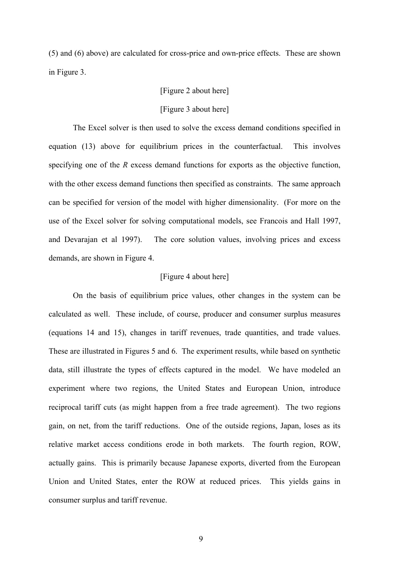(5) and (6) above) are calculated for cross-price and own-price effects. These are shown in Figure 3.

#### [Figure 2 about here]

#### [Figure 3 about here]

 The Excel solver is then used to solve the excess demand conditions specified in equation (13) above for equilibrium prices in the counterfactual. This involves specifying one of the *R* excess demand functions for exports as the objective function, with the other excess demand functions then specified as constraints. The same approach can be specified for version of the model with higher dimensionality. (For more on the use of the Excel solver for solving computational models, see Francois and Hall 1997, and Devarajan et al 1997). The core solution values, involving prices and excess demands, are shown in Figure 4.

#### [Figure 4 about here]

 On the basis of equilibrium price values, other changes in the system can be calculated as well. These include, of course, producer and consumer surplus measures (equations 14 and 15), changes in tariff revenues, trade quantities, and trade values. These are illustrated in Figures 5 and 6. The experiment results, while based on synthetic data, still illustrate the types of effects captured in the model. We have modeled an experiment where two regions, the United States and European Union, introduce reciprocal tariff cuts (as might happen from a free trade agreement). The two regions gain, on net, from the tariff reductions. One of the outside regions, Japan, loses as its relative market access conditions erode in both markets. The fourth region, ROW, actually gains. This is primarily because Japanese exports, diverted from the European Union and United States, enter the ROW at reduced prices. This yields gains in consumer surplus and tariff revenue.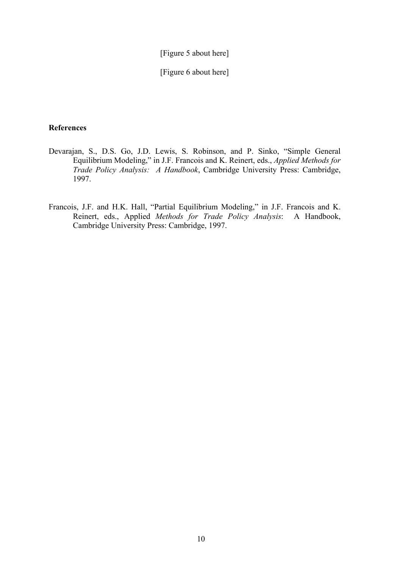[Figure 5 about here]

[Figure 6 about here]

### **References**

- Devarajan, S., D.S. Go, J.D. Lewis, S. Robinson, and P. Sinko, "Simple General Equilibrium Modeling," in J.F. Francois and K. Reinert, eds., *Applied Methods for Trade Policy Analysis: A Handbook*, Cambridge University Press: Cambridge, 1997.
- Francois, J.F. and H.K. Hall, "Partial Equilibrium Modeling," in J.F. Francois and K. Reinert, eds., Applied *Methods for Trade Policy Analysis*: A Handbook, Cambridge University Press: Cambridge, 1997.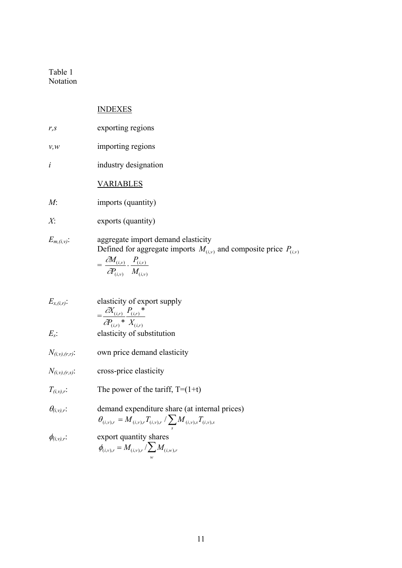Table 1 Notation

## INDEXES

| $r_{s}$             | exporting regions                                                                                                                                                                                      |
|---------------------|--------------------------------------------------------------------------------------------------------------------------------------------------------------------------------------------------------|
| v, w                | importing regions                                                                                                                                                                                      |
| i                   | industry designation                                                                                                                                                                                   |
|                     | <u>VARIABLES</u>                                                                                                                                                                                       |
| M:                  | imports (quantity)                                                                                                                                                                                     |
| $X^{\cdot}$         | exports (quantity)                                                                                                                                                                                     |
| $E_{m,(i,v)}$ :     | aggregate import demand elasticity<br>Defined for aggregate imports $M_{(i,v)}$ and composite price $P_{(i,v)}$<br>$= \frac{\partial M_{(i,v)}}{\partial P_{(i,v)}} \cdot \frac{P_{(i,v)}}{M_{(i,v)}}$ |
| $E_{x,(i,r)}$ :     | elasticity of export supply<br>$=\frac{\partial X_{(i,r)}}{\partial (x_i)^*} P_{(i,r)}^*$<br>$\partial P_{(i,r)} * X_{(i,r)}$                                                                          |
| $E_s$ :             | elasticity of substitution                                                                                                                                                                             |
| $N_{(i,v),(r,r)}$ : | own price demand elasticity                                                                                                                                                                            |
| $N_{(i,v),(r,s)}$ : | cross-price elasticity                                                                                                                                                                                 |
| $T_{(i,v),r}$ :     | The power of the tariff, $T=(1+t)$                                                                                                                                                                     |

 $\theta_{(i,v),r}$ : demand expenditure share (at internal prices)  $i, v$ ), s  $\theta_{(i,v),r} = M_{(i,v),r} T_{(i,v),r} / \sum_{s} M_{(i,v),s} T_{(i,v),s}$ 

 $\phi_{(i,v),r}$ : export quantity shares  $\phi_{(i,v),r} = M_{(i,v),r} / \sum M_{(i,w),r}$ *w* ∑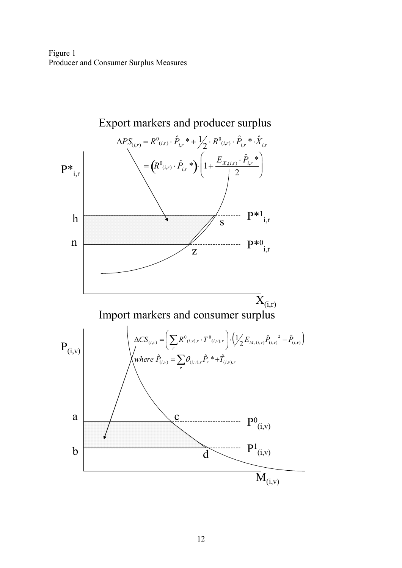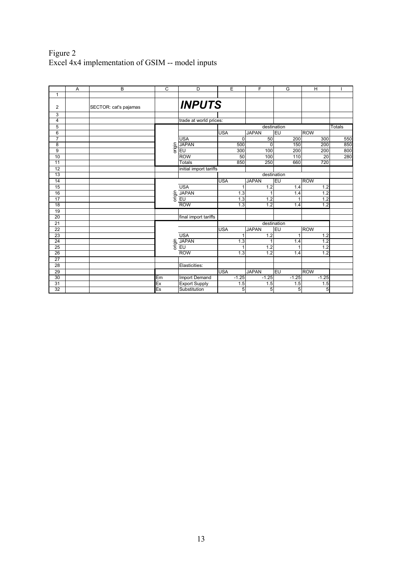## Figure 2 Excel 4x4 implementation of GSIM -- model inputs

|                 | A | B                     | $\overline{c}$ | D                      | E          | $\overline{F}$ | G                  | H          |               |
|-----------------|---|-----------------------|----------------|------------------------|------------|----------------|--------------------|------------|---------------|
| 1               |   |                       |                |                        |            |                |                    |            |               |
| 2               |   | SECTOR: cat's pajamas |                | <b>INPUTS</b>          |            |                |                    |            |               |
| 3               |   |                       |                |                        |            |                |                    |            |               |
| 4               |   |                       |                | trade at world prices: |            |                |                    |            |               |
| 5               |   |                       |                |                        |            |                | destination        |            | <b>Totals</b> |
| 6               |   |                       |                |                        | <b>USA</b> | <b>JAPAN</b>   | EU                 | <b>ROW</b> |               |
| 7               |   |                       |                | <b>USA</b>             | $\Omega$   | 50             | 200                | 300        | 550           |
| 8               |   |                       | origin         | <b>JAPAN</b>           | 500        | $\Omega$       | 150                | 200        | 850           |
| 9               |   |                       |                | <b>EU</b>              | 300        | 100            | 200                | 200        | 800           |
| 10              |   |                       |                | <b>ROW</b>             | 50         | 100            | 110                | 20         | 280           |
| 11              |   |                       |                | Totals                 | 850        | 250            | 660                | 720        |               |
| 12              |   |                       |                | initial import tariffs |            |                |                    |            |               |
| 13              |   |                       |                |                        |            |                | destination        |            |               |
| 14              |   |                       |                |                        | <b>USA</b> | <b>JAPAN</b>   | $E$ U              | <b>ROW</b> |               |
| 15              |   |                       |                | <b>USA</b>             | 1          | 1.2            | 1.4                | 1.2        |               |
| 16              |   |                       | origin         | <b>JAPAN</b>           | 1.3        | 1              | 1.4                | 1.2        |               |
| 17              |   |                       |                | EU                     | 1.3        | 1.2            |                    | 1.2        |               |
| 18              |   |                       |                | <b>ROW</b>             | 1.3        | 1.2            | 1.4                | 1.2        |               |
| 19              |   |                       |                |                        |            |                |                    |            |               |
| 20              |   |                       |                | final import tariffs   |            |                |                    |            |               |
| 21              |   |                       |                |                        |            |                | destination        |            |               |
| 22              |   |                       |                |                        | <b>USA</b> | <b>JAPAN</b>   | EU                 | <b>ROW</b> |               |
| 23              |   |                       |                | <b>USA</b>             | 1          | 1.2            | 1                  | 1.2        |               |
| 24              |   |                       | origin         | <b>JAPAN</b>           | 1.3        | 1              | 1.4                | 1.2        |               |
| 25              |   |                       |                | E <sub>U</sub>         | 1          | 1.2            |                    | 1.2        |               |
| 26              |   |                       |                | <b>ROW</b>             | 1.3        | 1.2            | 1.4                | 1.2        |               |
| 27              |   |                       |                |                        |            |                |                    |            |               |
| 28              |   |                       |                | Elasticities:          |            |                |                    |            |               |
| 29              |   |                       |                |                        | <b>USA</b> | <b>JAPAN</b>   | EU                 | <b>ROW</b> |               |
| 30              |   |                       | Em             | Import Demand          | $-1.25$    | $-1.25$        | $-1.\overline{25}$ | $-1.25$    |               |
| 31              |   |                       | Ex             | <b>Export Supply</b>   | 1.5        | 1.5            | 1.5                | 1.5        |               |
| $\overline{32}$ |   |                       | Es             | Substitution           | 5          | 5              | 5                  | 5          |               |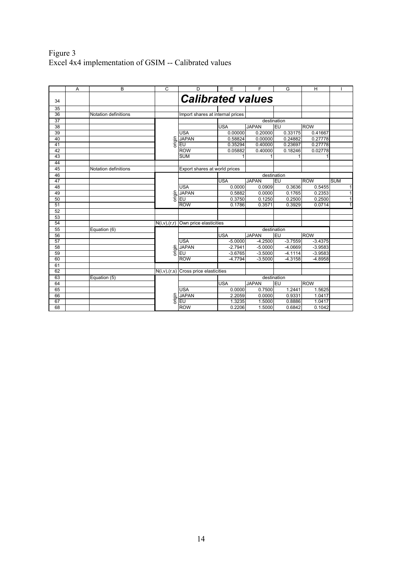## Figure 3 Excel 4x4 implementation of GSIM -- Calibrated values

|          | A | B                           | $\overline{c}$ | D                                          | E          | F            | G           | H          |              |
|----------|---|-----------------------------|----------------|--------------------------------------------|------------|--------------|-------------|------------|--------------|
| 34       |   |                             |                | <b>Calibrated values</b>                   |            |              |             |            |              |
|          |   |                             |                |                                            |            |              |             |            |              |
| 35<br>36 |   | Notation definitions        |                | Import shares at internal prices           |            |              |             |            |              |
| 37       |   |                             |                |                                            |            |              | destination |            |              |
| 38       |   |                             |                |                                            | <b>USA</b> | <b>JAPAN</b> | EU          | <b>ROW</b> |              |
| 39       |   |                             |                | <b>USA</b>                                 | 0.00000    | 0.20000      | 0.33175     | 0.41667    |              |
| 40       |   |                             |                | <b>JAPAN</b>                               | 0.58824    | 0.00000      | 0.24882     | 0.27778    |              |
| 41       |   |                             | origin         | EU                                         | 0.35294    | 0.40000      | 0.23697     | 0.27778    |              |
| 42       |   |                             |                | <b>ROW</b>                                 | 0.05882    | 0.40000      | 0.18246     | 0.02778    |              |
| 43       |   |                             |                | <b>SUM</b>                                 |            |              |             |            |              |
| 44       |   |                             |                |                                            |            |              |             |            |              |
| 45       |   | <b>Notation definitions</b> |                | Export shares at world prices              |            |              |             |            |              |
| 46       |   |                             |                |                                            |            |              | destination |            |              |
| 47       |   |                             |                |                                            | <b>USA</b> | <b>JAPAN</b> | EU          | <b>ROW</b> | <b>SUM</b>   |
| 48       |   |                             |                | <b>USA</b>                                 | 0.0000     | 0.0909       | 0.3636      | 0.5455     | 1            |
| 49       |   |                             |                | <b>JAPAN</b>                               | 0.5882     | 0.0000       | 0.1765      | 0.2353     | 1            |
| 50       |   |                             | origin         | EU                                         | 0.3750     | 0.1250       | 0.2500      | 0.2500     | 1            |
| 51       |   |                             |                | <b>ROW</b>                                 | 0.1786     | 0.3571       | 0.3929      | 0.0714     | $\mathbf{1}$ |
| 52       |   |                             |                |                                            |            |              |             |            |              |
| 53       |   |                             |                |                                            |            |              |             |            |              |
| 54       |   |                             | N(i,v),(r,r)   | Own price elasticities                     |            |              |             |            |              |
| 55       |   | Equation (6)                |                |                                            |            |              | destination |            |              |
| 56       |   |                             |                |                                            | <b>USA</b> | <b>JAPAN</b> | EU          | <b>ROW</b> |              |
| 57       |   |                             |                | <b>USA</b>                                 | $-5.0000$  | $-4.2500$    | $-3.7559$   | $-3.4375$  |              |
| 58       |   |                             |                | <b>JAPAN</b>                               | $-2.7941$  | $-5.0000$    | $-4.0669$   | $-3.9583$  |              |
| 59       |   |                             | origin         | <b>EU</b>                                  | $-3.6765$  | $-3.5000$    | $-4.1114$   | $-3.9583$  |              |
| 60       |   |                             |                | <b>ROW</b>                                 | $-4.7794$  | $-3.5000$    | $-4.3158$   | $-4.8958$  |              |
| 61       |   |                             |                |                                            |            |              |             |            |              |
| 62       |   |                             |                | $N(i, v), (r, s)$ Cross price elasticities |            |              |             |            |              |
| 63       |   | Equation (5)                |                |                                            |            |              | destination |            |              |
| 64       |   |                             |                |                                            | <b>USA</b> | <b>JAPAN</b> | EU          | <b>ROW</b> |              |
| 65       |   |                             |                | <b>USA</b>                                 | 0.0000     | 0.7500       | 1.2441      | 1.5625     |              |
| 66       |   |                             |                | <b>JAPAN</b>                               | 2.2059     | 0.0000       | 0.9331      | 1.0417     |              |
| 67       |   |                             | origin         | EU                                         | 1.3235     | 1.5000       | 0.8886      | 1.0417     |              |
| 68       |   |                             |                | <b>ROW</b>                                 | 0.2206     | 1.5000       | 0.6842      | 0.1042     |              |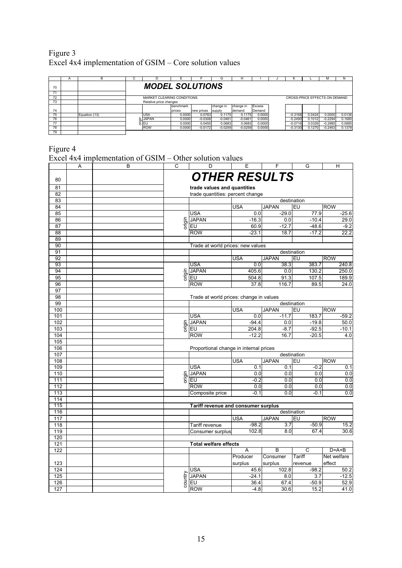| Figure 3                                                |  |
|---------------------------------------------------------|--|
| Excel 4x4 implementation of GSIM – Core solution values |  |

|    | A                      |               | ι. |                            |                    |            | G         |           |               |  | N                             |        | м         |        |
|----|------------------------|---------------|----|----------------------------|--------------------|------------|-----------|-----------|---------------|--|-------------------------------|--------|-----------|--------|
| 70 | <b>MODEL SOLUTIONS</b> |               |    |                            |                    |            |           |           |               |  |                               |        |           |        |
|    |                        |               |    |                            |                    |            |           |           |               |  |                               |        |           |        |
| 72 |                        |               |    | MARKET CLEARING CONDITIONS |                    |            |           |           |               |  | CROSS-PRICE EFFECTS ON DEMAND |        |           |        |
| 73 |                        |               |    | Relative price changes     |                    |            |           |           |               |  |                               |        |           |        |
|    |                        |               |    |                            | <b>I</b> benchmark |            | change in | change in | <b>Excess</b> |  |                               |        |           |        |
| 74 |                        |               |    |                            | prices             | new prices | supply    | Idemand   | Demand        |  |                               |        |           |        |
| 75 |                        | Equation (13) |    | <b>USA</b>                 | 0.0000             | 0.0783     | 0.1175    | 0.1175    | 0.0000        |  | $-0.3168$                     | 0.0424 | 0.0000    | 0.0136 |
| 76 |                        |               |    | <b>JAPAN</b>               | 0.0000             | $-0.0308$  | $-0.0461$ | $-0.0461$ | 0.0000        |  | $-0.2490$                     | 0.1012 | $-0.2294$ | 0.1680 |
| 77 |                        |               |    | g leu                      | 0.0000             | 0.0455     | 0.0683    | 0.0683    | 0.0000        |  | $-0.0716$                     | 0.0329 | $-0.2985$ | 0.0885 |
| 78 |                        |               |    | <b>ROW</b>                 | 0.0000             | $-0.0172$  | $-0.0259$ | $-0.0259$ | 0.0000        |  | $-0.3130$                     | 0.1270 | $-0.2463$ | 0.1378 |
| 79 |                        |               |    |                            |                    |            |           |           |               |  |                               |        |           |        |

Figure 4

|            |   | Excel 4x4 implementation of GSIM – Other solution values |                                  |                                                    |            |                  |             |             |  |
|------------|---|----------------------------------------------------------|----------------------------------|----------------------------------------------------|------------|------------------|-------------|-------------|--|
|            | A | $\overline{B}$                                           | $\overline{\text{c}}$            | $\overline{D}$                                     | E          | F                | G           | Η           |  |
|            |   |                                                          |                                  |                                                    |            |                  |             |             |  |
| 80         |   |                                                          |                                  | <b>OTHER RESULTS</b>                               |            |                  |             |             |  |
| 81         |   |                                                          | trade values and quantities      |                                                    |            |                  |             |             |  |
| 82         |   |                                                          | trade quantities: percent change |                                                    |            |                  |             |             |  |
| 83         |   |                                                          |                                  |                                                    |            |                  | destination |             |  |
| 84         |   |                                                          |                                  |                                                    | <b>USA</b> | <b>JAPAN</b>     | EU          | <b>ROW</b>  |  |
| 85         |   |                                                          |                                  | <b>USA</b>                                         | 0.0        | $-29.0$          | 77.9        | $-25.6$     |  |
| 86         |   |                                                          | origin                           | <b>JAPAN</b>                                       | $-16.3$    | 0.0              | $-10.4$     | 29.0        |  |
| 87         |   |                                                          |                                  | EU                                                 | 60.9       | $-12.7$          | $-48.6$     | $-9.2$      |  |
| 88         |   |                                                          |                                  | <b>ROW</b>                                         | $-23.1$    | 18.7             | $-17.2$     | 22.2        |  |
| 89         |   |                                                          |                                  |                                                    |            |                  |             |             |  |
| 90         |   |                                                          |                                  | Trade at world prices: new values                  |            |                  |             |             |  |
| 91         |   |                                                          |                                  |                                                    |            |                  | destination |             |  |
| 92         |   |                                                          |                                  |                                                    | USA        | <b>JAPAN</b>     | EU          | <b>ROW</b>  |  |
| 93         |   |                                                          |                                  | USA                                                | 0.0        | 38.3             | 383.7       | 240.8       |  |
| 94         |   |                                                          | origin                           | <b>JAPAN</b>                                       | 405.6      | 0.0              | 130.2       | 250.0       |  |
| 95         |   |                                                          |                                  | EU                                                 | 504.8      | 91.3             | 107.5       | 189.9       |  |
| 96         |   |                                                          |                                  | <b>ROW</b>                                         | 37.8       | 116.7            | 89.5        | 24.0        |  |
| 97         |   |                                                          |                                  |                                                    |            |                  |             |             |  |
| 98         |   |                                                          |                                  | Trade at world prices: change in values            |            |                  |             |             |  |
| 99         |   |                                                          |                                  |                                                    |            |                  | destination |             |  |
| 100        |   |                                                          |                                  |                                                    | <b>USA</b> | <b>JAPAN</b>     | EU          | <b>ROW</b>  |  |
| 101        |   |                                                          |                                  | USA                                                | 0.0        | $-11.7$          | 183.7       | $-59.2$     |  |
| 102        |   |                                                          | origin                           | <b>JAPAN</b>                                       | $-94.4$    | 0.0              | $-19.8$     | 50.0        |  |
| 103        |   |                                                          |                                  | EU                                                 | 204.8      | $-8.7$           | $-92.5$     | $-10.1$     |  |
| 104        |   |                                                          |                                  | <b>ROW</b>                                         | $-12.2$    | 16.7             | $-20.5$     | 4.0         |  |
| 105        |   |                                                          |                                  |                                                    |            |                  |             |             |  |
| 106        |   |                                                          |                                  | Proportional change in internal prices             |            |                  |             |             |  |
| 107        |   |                                                          |                                  |                                                    |            |                  | destination |             |  |
| 108        |   |                                                          |                                  |                                                    | <b>USA</b> | <b>JAPAN</b>     | EU          | <b>ROW</b>  |  |
| 109        |   |                                                          |                                  | USA                                                | 0.1        | 0.1              | $-0.2$      | 0.1         |  |
| 110        |   |                                                          | origin                           | <b>JAPAN</b>                                       | 0.0        | 0.0              | 0.0         | 0.0         |  |
| 111        |   |                                                          |                                  | EU                                                 | $-0.2$     | 0.0<br>0.0       | 0.0<br>0.0  | 0.0<br>0.0  |  |
| 112        |   |                                                          |                                  | <b>ROW</b>                                         | 0.0        |                  |             |             |  |
| 113<br>114 |   |                                                          |                                  | Composite price                                    | $-0.1$     | 0.0              | $-0.1$      | 0.0         |  |
| 115        |   |                                                          |                                  |                                                    |            |                  |             |             |  |
| 116        |   |                                                          |                                  | Tariff revenue and consumer surplus<br>destination |            |                  |             |             |  |
| 117        |   |                                                          |                                  |                                                    | <b>USA</b> | <b>JAPAN</b>     | EU          | <b>ROW</b>  |  |
| 118        |   |                                                          |                                  | Tariff revenue                                     | $-98.2$    | 3.7              | $-50.9$     | 15.2        |  |
| 119        |   |                                                          |                                  | Consumer surplus                                   | 102.8      | $\overline{8.0}$ | 67.4        | 30.6        |  |
| 120        |   |                                                          |                                  |                                                    |            |                  |             |             |  |
| 121        |   |                                                          |                                  | <b>Total welfare effects</b>                       |            |                  |             |             |  |
| 122        |   |                                                          |                                  |                                                    | Α          | B                | C           | $D=A+B$     |  |
|            |   |                                                          |                                  |                                                    | Producer   | Consumer         | Tariff      | Net welfare |  |
| 123        |   |                                                          |                                  |                                                    | surplus    | surplus          | revenue     | effect      |  |
| 124        |   |                                                          |                                  | USA                                                | 45.6       | 102.8            | $-98.2$     | 50.2        |  |
| 125        |   |                                                          |                                  | <b>JAPAN</b>                                       | $-24.1$    | 8.0              | 3.7         | $-12.5$     |  |
| 126        |   |                                                          | country                          | EU                                                 | 36.4       | 67.4             | $-50.9$     | 52.9        |  |
| 127        |   |                                                          |                                  | <b>ROW</b>                                         | $-4.8$     | 30.6             | 15.2        | 41.0        |  |